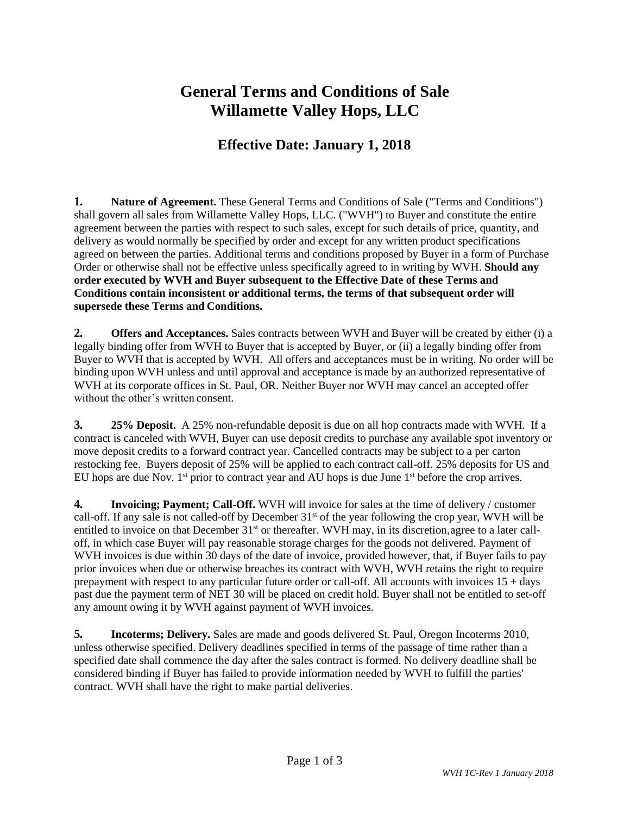## **General Terms and Conditions of Sale Willamette Valley Hops, LLC**

## **Effective Date: January 1, 2018**

**1. Nature of Agreement.** These General Terms and Conditions of Sale ("Terms and Conditions") shall govern all sales from Willamette Valley Hops, LLC. ("WVH") to Buyer and constitute the entire agreement between the parties with respect to such sales, except for such details of price, quantity, and delivery as would normally be specified by order and except for any written product specifications agreed on between the parties. Additional terms and conditions proposed by Buyer in a form of Purchase Order or otherwise shall not be effective unless specifically agreed to in writing by WVH. **Should any order executed by WVH and Buyer subsequent to the Effective Date of these Terms and Conditions contain inconsistent or additional terms, the terms of that subsequent order will supersede these Terms and Conditions.**

**2. Offers and Acceptances.** Sales contracts between WVH and Buyer will be created by either (i) a legally binding offer from WVH to Buyer that is accepted by Buyer, or (ii) a legally binding offer from Buyer to WVH that is accepted by WVH. All offers and acceptances must be in writing. No order will be binding upon WVH unless and until approval and acceptance is made by an authorized representative of WVH at its corporate offices in St. Paul, OR. Neither Buyer nor WVH may cancel an accepted offer without the other's written consent.

**3. 25% Deposit.** A 25% non-refundable deposit is due on all hop contracts made with WVH. If a contract is canceled with WVH, Buyer can use deposit credits to purchase any available spot inventory or move deposit credits to a forward contract year. Cancelled contracts may be subject to a per carton restocking fee. Buyers deposit of 25% will be applied to each contract call-off. 25% deposits for US and EU hops are due Nov.  $1<sup>st</sup>$  prior to contract year and AU hops is due June  $1<sup>st</sup>$  before the crop arrives.

**4. Invoicing; Payment; Call-Off.** WVH will invoice for sales at the time of delivery / customer call-off. If any sale is not called-off by December  $31<sup>st</sup>$  of the year following the crop year, WVH will be entitled to invoice on that December  $31<sup>st</sup>$  or thereafter. WVH may, in its discretion, agree to a later calloff, in which case Buyer will pay reasonable storage charges for the goods not delivered. Payment of WVH invoices is due within 30 days of the date of invoice, provided however, that, if Buyer fails to pay prior invoices when due or otherwise breaches its contract with WVH, WVH retains the right to require prepayment with respect to any particular future order or call-off. All accounts with invoices 15 + days past due the payment term of NET 30 will be placed on credit hold. Buyer shall not be entitled to set-off any amount owing it by WVH against payment of WVH invoices.

**5. Incoterms; Delivery.** Sales are made and goods delivered St. Paul, Oregon Incoterms 2010, unless otherwise specified. Delivery deadlines specified in terms of the passage of time rather than a specified date shall commence the day after the sales contract is formed. No delivery deadline shall be considered binding if Buyer has failed to provide information needed by WVH to fulfill the parties' contract. WVH shall have the right to make partial deliveries.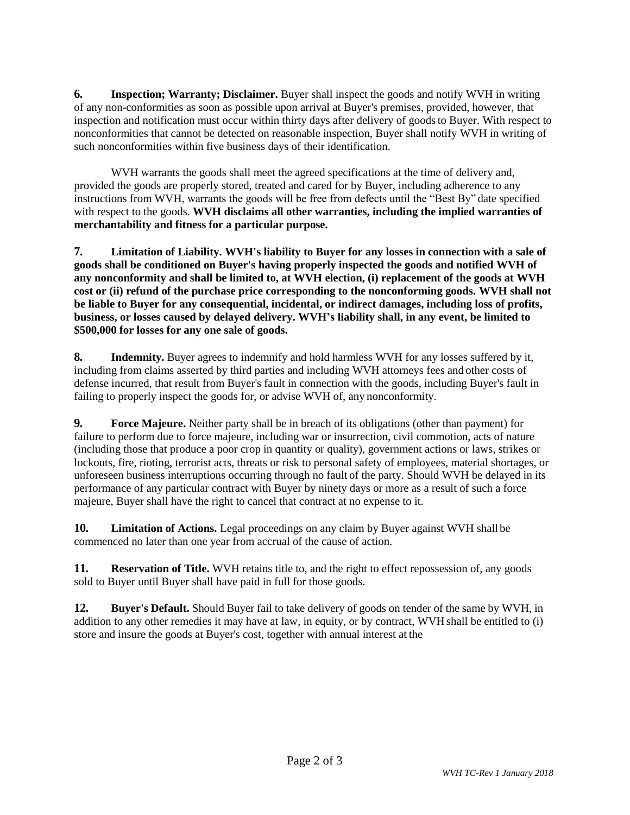**6. Inspection; Warranty; Disclaimer.** Buyer shall inspect the goods and notify WVH in writing of any non-conformities as soon as possible upon arrival at Buyer's premises, provided, however, that inspection and notification must occur within thirty days after delivery of goodsto Buyer. With respect to nonconformities that cannot be detected on reasonable inspection, Buyer shall notify WVH in writing of such nonconformities within five business days of their identification.

WVH warrants the goods shall meet the agreed specifications at the time of delivery and, provided the goods are properly stored, treated and cared for by Buyer, including adherence to any instructions from WVH, warrants the goods will be free from defects until the "Best By" date specified with respect to the goods. **WVH disclaims all other warranties, including the implied warranties of merchantability and fitness for a particular purpose.**

**7. Limitation of Liability. WVH's liability to Buyer for any losses in connection with a sale of goods shall be conditioned on Buyer's having properly inspected the goods and notified WVH of any nonconformity and shall be limited to, at WVH election, (i) replacement of the goods at WVH cost or (ii) refund of the purchase price corresponding to the nonconforming goods. WVH shall not be liable to Buyer for any consequential, incidental, or indirect damages, including loss of profits, business, or losses caused by delayed delivery. WVH's liability shall, in any event, be limited to \$500,000 for losses for any one sale of goods.**

**8. Indemnity.** Buyer agrees to indemnify and hold harmless WVH for any losses suffered by it, including from claims asserted by third parties and including WVH attorneys fees and other costs of defense incurred, that result from Buyer's fault in connection with the goods, including Buyer's fault in failing to properly inspect the goods for, or advise WVH of, any nonconformity.

**9. Force Majeure.** Neither party shall be in breach of its obligations (other than payment) for failure to perform due to force majeure, including war or insurrection, civil commotion, acts of nature (including those that produce a poor crop in quantity or quality), government actions or laws, strikes or lockouts, fire, rioting, terrorist acts, threats or risk to personal safety of employees, material shortages, or unforeseen business interruptions occurring through no fault of the party. Should WVH be delayed in its performance of any particular contract with Buyer by ninety days or more as a result of such a force majeure, Buyer shall have the right to cancel that contract at no expense to it.

**10. Limitation of Actions.** Legal proceedings on any claim by Buyer against WVH shall be commenced no later than one year from accrual of the cause of action.

**11. Reservation of Title.** WVH retains title to, and the right to effect repossession of, any goods sold to Buyer until Buyer shall have paid in full for those goods.

**12. Buyer's Default.** Should Buyer fail to take delivery of goods on tender of the same by WVH, in addition to any other remedies it may have at law, in equity, or by contract, WVH shall be entitled to (i) store and insure the goods at Buyer's cost, together with annual interest at the